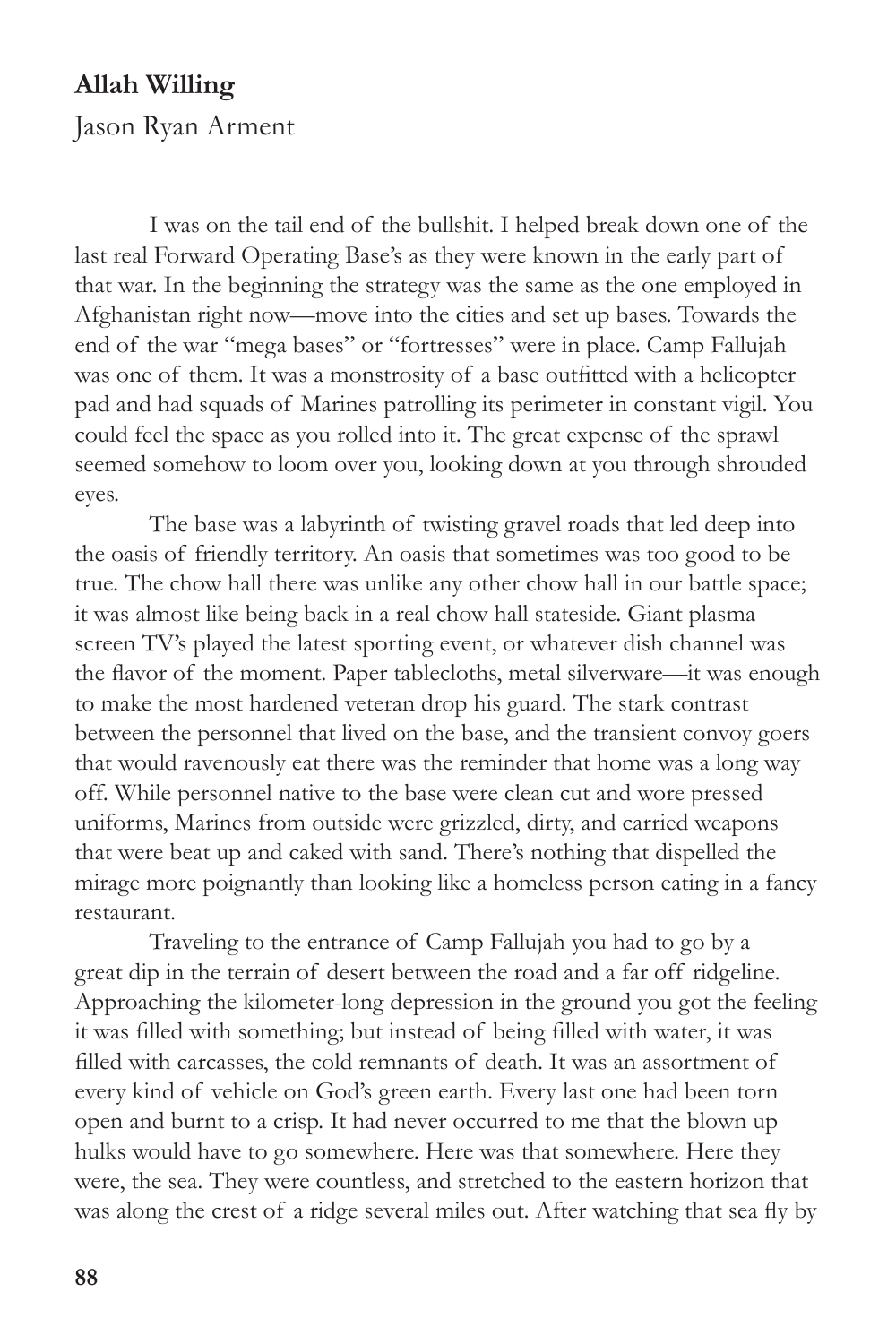## **Allah Willing**

Jason Ryan Arment

I was on the tail end of the bullshit. I helped break down one of the last real Forward Operating Base's as they were known in the early part of that war. In the beginning the strategy was the same as the one employed in Afghanistan right now—move into the cities and set up bases. Towards the end of the war "mega bases" or "fortresses" were in place. Camp Fallujah was one of them. It was a monstrosity of a base outfitted with a helicopter pad and had squads of Marines patrolling its perimeter in constant vigil. You could feel the space as you rolled into it. The great expense of the sprawl seemed somehow to loom over you, looking down at you through shrouded eyes.

The base was a labyrinth of twisting gravel roads that led deep into the oasis of friendly territory. An oasis that sometimes was too good to be true. The chow hall there was unlike any other chow hall in our battle space; it was almost like being back in a real chow hall stateside. Giant plasma screen TV's played the latest sporting event, or whatever dish channel was the flavor of the moment. Paper tablecloths, metal silverware—it was enough to make the most hardened veteran drop his guard. The stark contrast between the personnel that lived on the base, and the transient convoy goers that would ravenously eat there was the reminder that home was a long way off. While personnel native to the base were clean cut and wore pressed uniforms, Marines from outside were grizzled, dirty, and carried weapons that were beat up and caked with sand. There's nothing that dispelled the mirage more poignantly than looking like a homeless person eating in a fancy restaurant.

Traveling to the entrance of Camp Fallujah you had to go by a great dip in the terrain of desert between the road and a far off ridgeline. Approaching the kilometer-long depression in the ground you got the feeling it was filled with something; but instead of being filled with water, it was filled with carcasses, the cold remnants of death. It was an assortment of every kind of vehicle on God's green earth. Every last one had been torn open and burnt to a crisp. It had never occurred to me that the blown up hulks would have to go somewhere. Here was that somewhere. Here they were, the sea. They were countless, and stretched to the eastern horizon that was along the crest of a ridge several miles out. After watching that sea fly by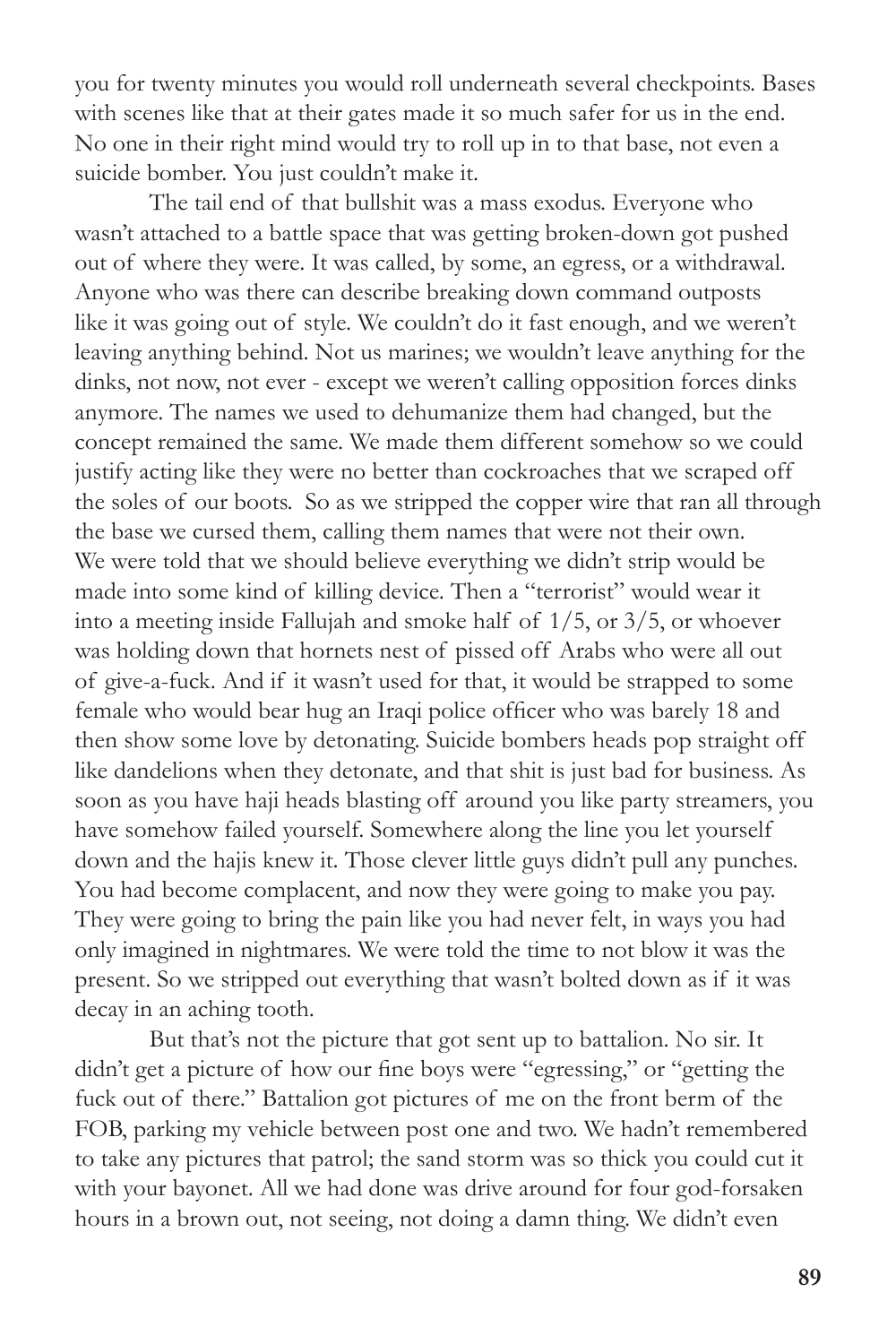you for twenty minutes you would roll underneath several checkpoints. Bases with scenes like that at their gates made it so much safer for us in the end. No one in their right mind would try to roll up in to that base, not even a suicide bomber. You just couldn't make it.

The tail end of that bullshit was a mass exodus. Everyone who wasn't attached to a battle space that was getting broken-down got pushed out of where they were. It was called, by some, an egress, or a withdrawal. Anyone who was there can describe breaking down command outposts like it was going out of style. We couldn't do it fast enough, and we weren't leaving anything behind. Not us marines; we wouldn't leave anything for the dinks, not now, not ever - except we weren't calling opposition forces dinks anymore. The names we used to dehumanize them had changed, but the concept remained the same. We made them different somehow so we could justify acting like they were no better than cockroaches that we scraped off the soles of our boots. So as we stripped the copper wire that ran all through the base we cursed them, calling them names that were not their own. We were told that we should believe everything we didn't strip would be made into some kind of killing device. Then a "terrorist" would wear it into a meeting inside Fallujah and smoke half of 1/5, or 3/5, or whoever was holding down that hornets nest of pissed off Arabs who were all out of give-a-fuck. And if it wasn't used for that, it would be strapped to some female who would bear hug an Iraqi police officer who was barely 18 and then show some love by detonating. Suicide bombers heads pop straight off like dandelions when they detonate, and that shit is just bad for business. As soon as you have haji heads blasting off around you like party streamers, you have somehow failed yourself. Somewhere along the line you let yourself down and the hajis knew it. Those clever little guys didn't pull any punches. You had become complacent, and now they were going to make you pay. They were going to bring the pain like you had never felt, in ways you had only imagined in nightmares. We were told the time to not blow it was the present. So we stripped out everything that wasn't bolted down as if it was decay in an aching tooth.

But that's not the picture that got sent up to battalion. No sir. It didn't get a picture of how our fine boys were "egressing," or "getting the fuck out of there." Battalion got pictures of me on the front berm of the FOB, parking my vehicle between post one and two. We hadn't remembered to take any pictures that patrol; the sand storm was so thick you could cut it with your bayonet. All we had done was drive around for four god-forsaken hours in a brown out, not seeing, not doing a damn thing. We didn't even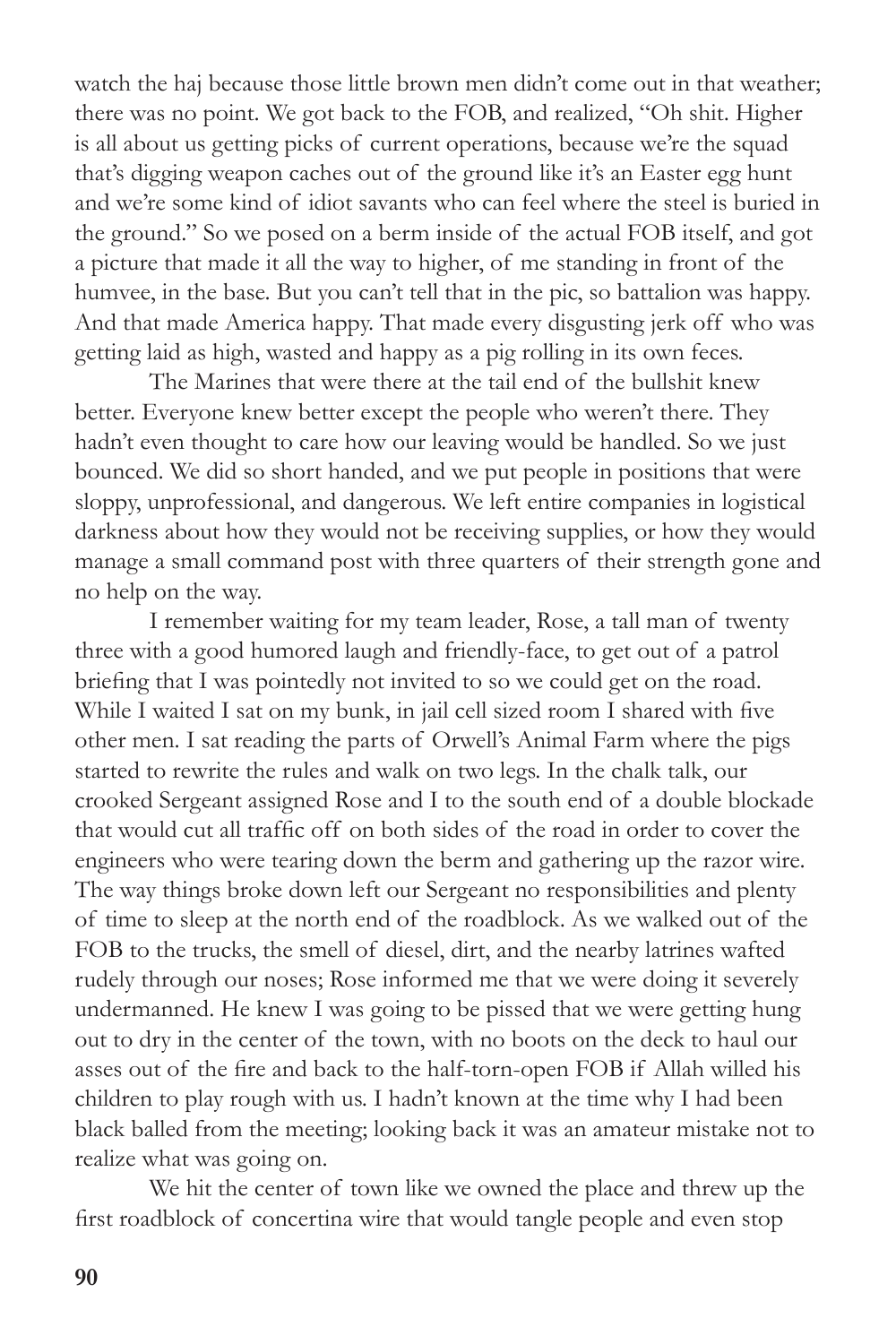watch the haj because those little brown men didn't come out in that weather; there was no point. We got back to the FOB, and realized, "Oh shit. Higher is all about us getting picks of current operations, because we're the squad that's digging weapon caches out of the ground like it's an Easter egg hunt and we're some kind of idiot savants who can feel where the steel is buried in the ground." So we posed on a berm inside of the actual FOB itself, and got a picture that made it all the way to higher, of me standing in front of the humvee, in the base. But you can't tell that in the pic, so battalion was happy. And that made America happy. That made every disgusting jerk off who was getting laid as high, wasted and happy as a pig rolling in its own feces.

The Marines that were there at the tail end of the bullshit knew better. Everyone knew better except the people who weren't there. They hadn't even thought to care how our leaving would be handled. So we just bounced. We did so short handed, and we put people in positions that were sloppy, unprofessional, and dangerous. We left entire companies in logistical darkness about how they would not be receiving supplies, or how they would manage a small command post with three quarters of their strength gone and no help on the way.

I remember waiting for my team leader, Rose, a tall man of twenty three with a good humored laugh and friendly-face, to get out of a patrol briefing that I was pointedly not invited to so we could get on the road. While I waited I sat on my bunk, in jail cell sized room I shared with five other men. I sat reading the parts of Orwell's Animal Farm where the pigs started to rewrite the rules and walk on two legs. In the chalk talk, our crooked Sergeant assigned Rose and I to the south end of a double blockade that would cut all traffic off on both sides of the road in order to cover the engineers who were tearing down the berm and gathering up the razor wire. The way things broke down left our Sergeant no responsibilities and plenty of time to sleep at the north end of the roadblock. As we walked out of the FOB to the trucks, the smell of diesel, dirt, and the nearby latrines wafted rudely through our noses; Rose informed me that we were doing it severely undermanned. He knew I was going to be pissed that we were getting hung out to dry in the center of the town, with no boots on the deck to haul our asses out of the fire and back to the half-torn-open FOB if Allah willed his children to play rough with us. I hadn't known at the time why I had been black balled from the meeting; looking back it was an amateur mistake not to realize what was going on.

We hit the center of town like we owned the place and threw up the first roadblock of concertina wire that would tangle people and even stop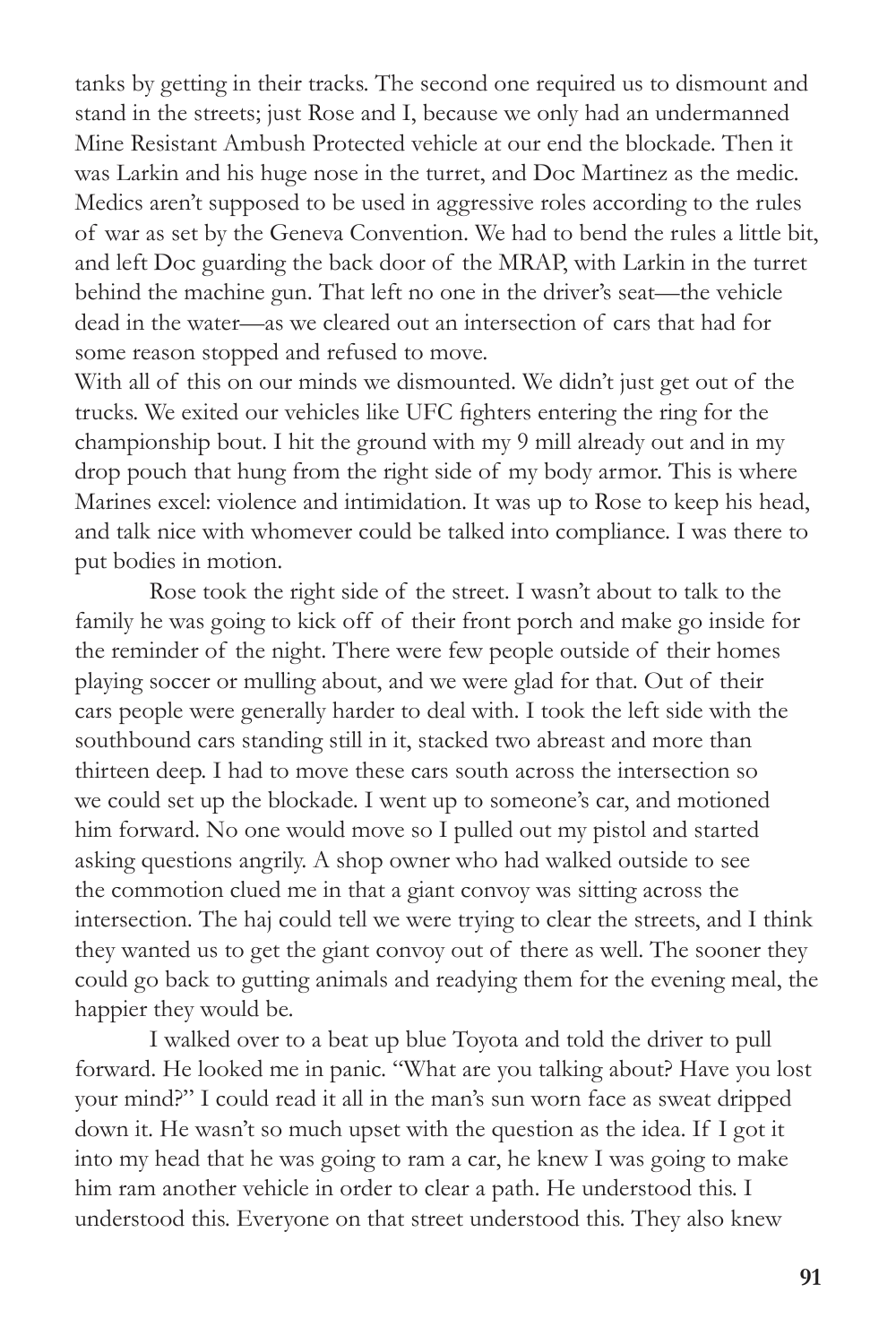tanks by getting in their tracks. The second one required us to dismount and stand in the streets; just Rose and I, because we only had an undermanned Mine Resistant Ambush Protected vehicle at our end the blockade. Then it was Larkin and his huge nose in the turret, and Doc Martinez as the medic. Medics aren't supposed to be used in aggressive roles according to the rules of war as set by the Geneva Convention. We had to bend the rules a little bit, and left Doc guarding the back door of the MRAP, with Larkin in the turret behind the machine gun. That left no one in the driver's seat—the vehicle dead in the water—as we cleared out an intersection of cars that had for some reason stopped and refused to move.

With all of this on our minds we dismounted. We didn't just get out of the trucks. We exited our vehicles like UFC fighters entering the ring for the championship bout. I hit the ground with my 9 mill already out and in my drop pouch that hung from the right side of my body armor. This is where Marines excel: violence and intimidation. It was up to Rose to keep his head, and talk nice with whomever could be talked into compliance. I was there to put bodies in motion.

Rose took the right side of the street. I wasn't about to talk to the family he was going to kick off of their front porch and make go inside for the reminder of the night. There were few people outside of their homes playing soccer or mulling about, and we were glad for that. Out of their cars people were generally harder to deal with. I took the left side with the southbound cars standing still in it, stacked two abreast and more than thirteen deep. I had to move these cars south across the intersection so we could set up the blockade. I went up to someone's car, and motioned him forward. No one would move so I pulled out my pistol and started asking questions angrily. A shop owner who had walked outside to see the commotion clued me in that a giant convoy was sitting across the intersection. The haj could tell we were trying to clear the streets, and I think they wanted us to get the giant convoy out of there as well. The sooner they could go back to gutting animals and readying them for the evening meal, the happier they would be.

I walked over to a beat up blue Toyota and told the driver to pull forward. He looked me in panic. "What are you talking about? Have you lost your mind?" I could read it all in the man's sun worn face as sweat dripped down it. He wasn't so much upset with the question as the idea. If I got it into my head that he was going to ram a car, he knew I was going to make him ram another vehicle in order to clear a path. He understood this. I understood this. Everyone on that street understood this. They also knew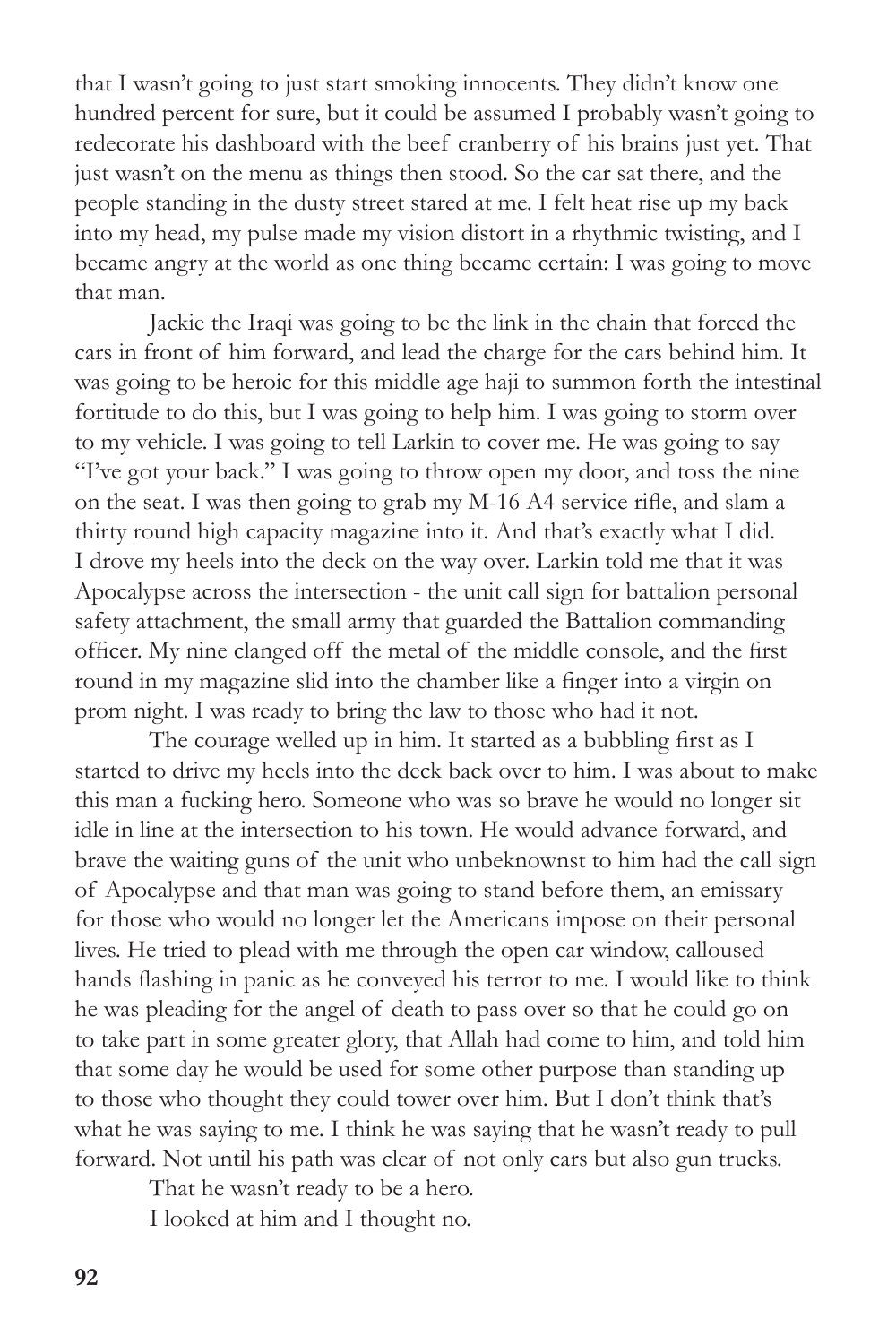that I wasn't going to just start smoking innocents. They didn't know one hundred percent for sure, but it could be assumed I probably wasn't going to redecorate his dashboard with the beef cranberry of his brains just yet. That just wasn't on the menu as things then stood. So the car sat there, and the people standing in the dusty street stared at me. I felt heat rise up my back into my head, my pulse made my vision distort in a rhythmic twisting, and I became angry at the world as one thing became certain: I was going to move that man.

Jackie the Iraqi was going to be the link in the chain that forced the cars in front of him forward, and lead the charge for the cars behind him. It was going to be heroic for this middle age haji to summon forth the intestinal fortitude to do this, but I was going to help him. I was going to storm over to my vehicle. I was going to tell Larkin to cover me. He was going to say "I've got your back." I was going to throw open my door, and toss the nine on the seat. I was then going to grab my M-16 A4 service rifle, and slam a thirty round high capacity magazine into it. And that's exactly what I did. I drove my heels into the deck on the way over. Larkin told me that it was Apocalypse across the intersection - the unit call sign for battalion personal safety attachment, the small army that guarded the Battalion commanding officer. My nine clanged off the metal of the middle console, and the first round in my magazine slid into the chamber like a finger into a virgin on prom night. I was ready to bring the law to those who had it not.

The courage welled up in him. It started as a bubbling first as I started to drive my heels into the deck back over to him. I was about to make this man a fucking hero. Someone who was so brave he would no longer sit idle in line at the intersection to his town. He would advance forward, and brave the waiting guns of the unit who unbeknownst to him had the call sign of Apocalypse and that man was going to stand before them, an emissary for those who would no longer let the Americans impose on their personal lives. He tried to plead with me through the open car window, calloused hands flashing in panic as he conveyed his terror to me. I would like to think he was pleading for the angel of death to pass over so that he could go on to take part in some greater glory, that Allah had come to him, and told him that some day he would be used for some other purpose than standing up to those who thought they could tower over him. But I don't think that's what he was saying to me. I think he was saying that he wasn't ready to pull forward. Not until his path was clear of not only cars but also gun trucks.

That he wasn't ready to be a hero.

I looked at him and I thought no.